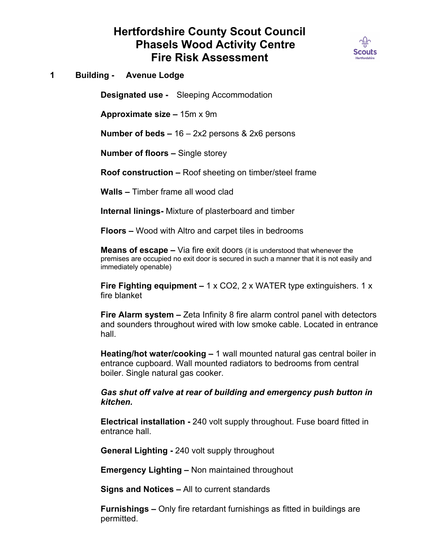## **Hertfordshire County Scout Council Phasels Wood Activity Centre Fire Risk Assessment**



**1 Building - Avenue Lodge**

**Designated use -** Sleeping Accommodation

**Approximate size –** 15m x 9m

**Number of beds –** 16 – 2x2 persons & 2x6 persons

**Number of floors –** Single storey

**Roof construction –** Roof sheeting on timber/steel frame

**Walls –** Timber frame all wood clad

**Internal linings-** Mixture of plasterboard and timber

**Floors –** Wood with Altro and carpet tiles in bedrooms

**Means of escape –** Via fire exit doors (it is understood that whenever the premises are occupied no exit door is secured in such a manner that it is not easily and immediately openable)

**Fire Fighting equipment –** 1 x CO2, 2 x WATER type extinguishers. 1 x fire blanket

**Fire Alarm system –** Zeta Infinity 8 fire alarm control panel with detectors and sounders throughout wired with low smoke cable. Located in entrance hall.

**Heating/hot water/cooking –** 1 wall mounted natural gas central boiler in entrance cupboard. Wall mounted radiators to bedrooms from central boiler. Single natural gas cooker.

*Gas shut off valve at rear of building and emergency push button in kitchen.*

**Electrical installation -** 240 volt supply throughout. Fuse board fitted in entrance hall.

**General Lighting -** 240 volt supply throughout

**Emergency Lighting –** Non maintained throughout

**Signs and Notices –** All to current standards

**Furnishings –** Only fire retardant furnishings as fitted in buildings are permitted.